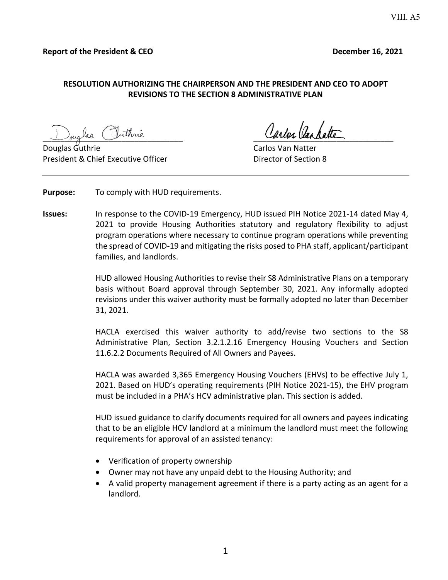#### **RESOLUTION AUTHORIZING THE CHAIRPERSON AND THE PRESIDENT AND CEO TO ADOPT REVISIONS TO THE SECTION 8 ADMINISTRATIVE PLAN**

and the complete of the complete of the complete of the complete of the complete of the complete of the complete of the complete of the complete of the complete of the complete of the complete of the complete of the comple

President & Chief Executive Officer The Chief Chief Director of Section 8

Carlos Van Na

**Purpose:** To comply with HUD requirements.

**Issues:** In response to the COVID-19 Emergency, HUD issued PIH Notice 2021-14 dated May 4, 2021 to provide Housing Authorities statutory and regulatory flexibility to adjust program operations where necessary to continue program operations while preventing the spread of COVID-19 and mitigating the risks posed to PHA staff, applicant/participant families, and landlords.

> HUD allowed Housing Authorities to revise their S8 Administrative Plans on a temporary basis without Board approval through September 30, 2021. Any informally adopted revisions under this waiver authority must be formally adopted no later than December 31, 2021.

> HACLA exercised this waiver authority to add/revise two sections to the S8 Administrative Plan, Section 3.2.1.2.16 Emergency Housing Vouchers and Section 11.6.2.2 Documents Required of All Owners and Payees.

> HACLA was awarded 3,365 Emergency Housing Vouchers (EHVs) to be effective July 1, 2021. Based on HUD's operating requirements (PIH Notice 2021-15), the EHV program must be included in a PHA's HCV administrative plan. This section is added.

> HUD issued guidance to clarify documents required for all owners and payees indicating that to be an eligible HCV landlord at a minimum the landlord must meet the following requirements for approval of an assisted tenancy:

- Verification of property ownership
- Owner may not have any unpaid debt to the Housing Authority; and
- A valid property management agreement if there is a party acting as an agent for a landlord.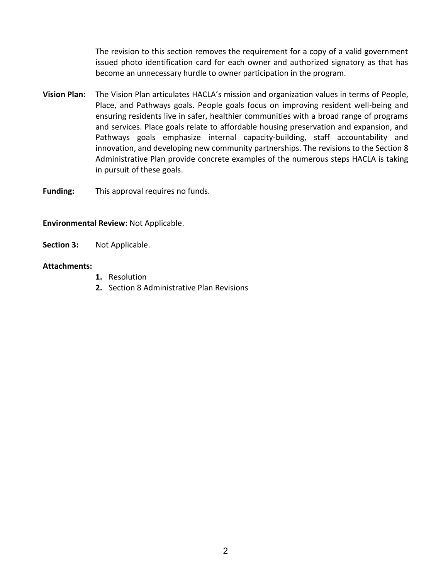The revision to this section removes the requirement for a copy of a valid government issued photo identification card for each owner and authorized signatory as that has become an unnecessary hurdle to owner participation in the program.

**Vision Plan:** The Vision Plan articulates HACLA's mission and organization values in terms of People, Place, and Pathways goals. People goals focus on improving resident well-being and ensuring residents live in safer, healthier communities with a broad range of programs and services. Place goals relate to affordable housing preservation and expansion, and Pathways goals emphasize internal capacity-building, staff accountability and innovation, and developing new community partnerships. The revisions to the Section 8 Administrative Plan provide concrete examples of the numerous steps HACLA is taking in pursuit of these goals.

**Funding:** This approval requires no funds.

#### **Environmental Review:** Not Applicable.

**Section 3:** Not Applicable.

#### **Attachments:**

- **1.** Resolution
- **2.** Section 8 Administrative Plan Revisions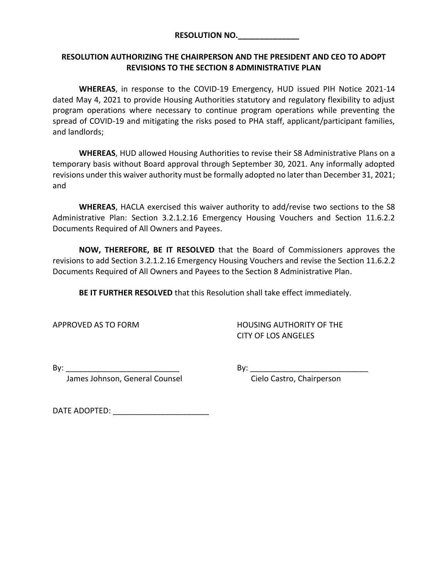#### **RESOLUTION NO.\_\_\_\_\_\_\_\_\_\_\_\_\_\_**

## **RESOLUTION AUTHORIZING THE CHAIRPERSON AND THE PRESIDENT AND CEO TO ADOPT REVISIONS TO THE SECTION 8 ADMINISTRATIVE PLAN**

**WHEREAS**, in response to the COVID-19 Emergency, HUD issued PIH Notice 2021-14 dated May 4, 2021 to provide Housing Authorities statutory and regulatory flexibility to adjust program operations where necessary to continue program operations while preventing the spread of COVID-19 and mitigating the risks posed to PHA staff, applicant/participant families, and landlords;

**WHEREAS**, HUD allowed Housing Authorities to revise their S8 Administrative Plans on a temporary basis without Board approval through September 30, 2021. Any informally adopted revisions under this waiver authority must be formally adopted no later than December 31, 2021; and

**WHEREAS**, HACLA exercised this waiver authority to add/revise two sections to the S8 Administrative Plan: Section 3.2.1.2.16 Emergency Housing Vouchers and Section 11.6.2.2 Documents Required of All Owners and Payees.

**NOW, THEREFORE, BE IT RESOLVED** that the Board of Commissioners approves the revisions to add Section 3.2.1.2.16 Emergency Housing Vouchers and revise the Section 11.6.2.2 Documents Required of All Owners and Payees to the Section 8 Administrative Plan.

**BE IT FURTHER RESOLVED** that this Resolution shall take effect immediately.

APPROVED AS TO FORM HOUSING AUTHORITY OF THE CITY OF LOS ANGELES

James Johnson, General Counsel **Communist County Constant Cielo Castro, Chairperson** 

By:  $\Box$ 

DATE ADOPTED:  $\blacksquare$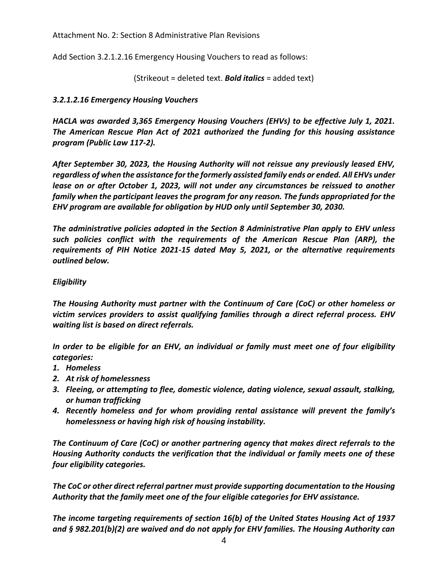Attachment No. 2: Section 8 Administrative Plan Revisions

Add Section 3.2.1.2.16 Emergency Housing Vouchers to read as follows:

(Strikeout = deleted text. *Bold italics* = added text)

## *3.2.1.2.16 Emergency Housing Vouchers*

*HACLA was awarded 3,365 Emergency Housing Vouchers (EHVs) to be effective July 1, 2021. The American Rescue Plan Act of 2021 authorized the funding for this housing assistance program (Public Law 117-2).*

*After September 30, 2023, the Housing Authority will not reissue any previously leased EHV, regardless of when the assistance for the formerly assisted family ends or ended. All EHVs under lease on or after October 1, 2023, will not under any circumstances be reissued to another family when the participant leaves the program for any reason. The funds appropriated for the EHV program are available for obligation by HUD only until September 30, 2030.*

*The administrative policies adopted in the Section 8 Administrative Plan apply to EHV unless such policies conflict with the requirements of the American Rescue Plan (ARP), the requirements of PIH Notice 2021-15 dated May 5, 2021, or the alternative requirements outlined below.*

## *Eligibility*

*The Housing Authority must partner with the Continuum of Care (CoC) or other homeless or victim services providers to assist qualifying families through a direct referral process. EHV waiting list is based on direct referrals.*

*In order to be eligible for an EHV, an individual or family must meet one of four eligibility categories:*

- *1. Homeless*
- *2. At risk of homelessness*
- *3. Fleeing, or attempting to flee, domestic violence, dating violence, sexual assault, stalking, or human trafficking*
- *4. Recently homeless and for whom providing rental assistance will prevent the family's homelessness or having high risk of housing instability.*

*The Continuum of Care (CoC) or another partnering agency that makes direct referrals to the Housing Authority conducts the verification that the individual or family meets one of these four eligibility categories.*

*The CoC or other direct referral partner must provide supporting documentation to the Housing Authority that the family meet one of the four eligible categories for EHV assistance.*

*The income targeting requirements of section 16(b) of the United States Housing Act of 1937 and § 982.201(b)(2) are waived and do not apply for EHV families. The Housing Authority can*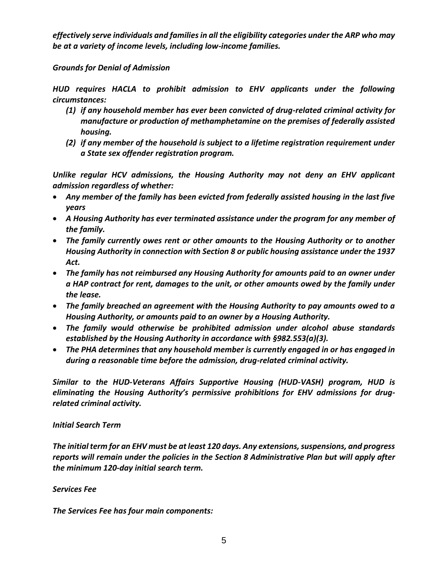*effectively serve individuals and families in all the eligibility categories under the ARP who may be at a variety of income levels, including low-income families.*

## *Grounds for Denial of Admission*

*HUD requires HACLA to prohibit admission to EHV applicants under the following circumstances:*

- *(1) if any household member has ever been convicted of drug-related criminal activity for manufacture or production of methamphetamine on the premises of federally assisted housing.*
- *(2) if any member of the household is subject to a lifetime registration requirement under a State sex offender registration program.*

*Unlike regular HCV admissions, the Housing Authority may not deny an EHV applicant admission regardless of whether:*

- *Any member of the family has been evicted from federally assisted housing in the last five years*
- *A Housing Authority has ever terminated assistance under the program for any member of the family.*
- *The family currently owes rent or other amounts to the Housing Authority or to another Housing Authority in connection with Section 8 or public housing assistance under the 1937 Act.*
- *The family has not reimbursed any Housing Authority for amounts paid to an owner under a HAP contract for rent, damages to the unit, or other amounts owed by the family under the lease.*
- *The family breached an agreement with the Housing Authority to pay amounts owed to a Housing Authority, or amounts paid to an owner by a Housing Authority.*
- *The family would otherwise be prohibited admission under alcohol abuse standards established by the Housing Authority in accordance with §982.553(a)(3).*
- *The PHA determines that any household member is currently engaged in or has engaged in during a reasonable time before the admission, drug-related criminal activity.*

*Similar to the HUD-Veterans Affairs Supportive Housing (HUD-VASH) program, HUD is eliminating the Housing Authority's permissive prohibitions for EHV admissions for drugrelated criminal activity.*

#### *Initial Search Term*

*The initial term for an EHV must be at least 120 days. Any extensions, suspensions, and progress reports will remain under the policies in the Section 8 Administrative Plan but will apply after the minimum 120-day initial search term.*

# *Services Fee*

*The Services Fee has four main components:*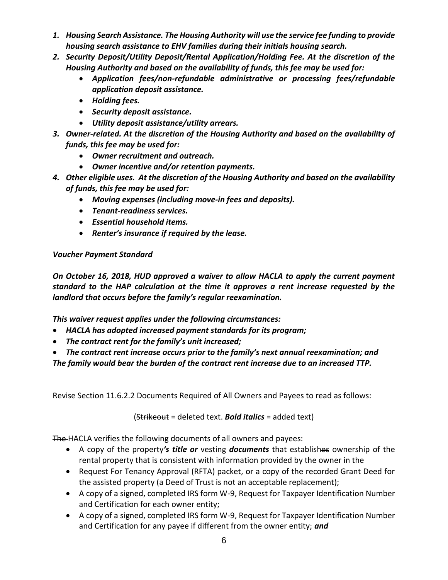- *1. Housing Search Assistance. The Housing Authority will use the service fee funding to provide housing search assistance to EHV families during their initials housing search.*
- *2. Security Deposit/Utility Deposit/Rental Application/Holding Fee. At the discretion of the Housing Authority and based on the availability of funds, this fee may be used for:*
	- *Application fees/non-refundable administrative or processing fees/refundable application deposit assistance.*
	- *Holding fees.*
	- *Security deposit assistance.*
	- *Utility deposit assistance/utility arrears.*
- *3. Owner-related. At the discretion of the Housing Authority and based on the availability of funds, this fee may be used for:*
	- *Owner recruitment and outreach.*
	- *Owner incentive and/or retention payments.*
- *4. Other eligible uses. At the discretion of the Housing Authority and based on the availability of funds, this fee may be used for:*
	- *Moving expenses (including move-in fees and deposits).*
	- *Tenant-readiness services.*
	- *Essential household items.*
	- *Renter's insurance if required by the lease.*

# *Voucher Payment Standard*

*On October 16, 2018, HUD approved a waiver to allow HACLA to apply the current payment standard to the HAP calculation at the time it approves a rent increase requested by the landlord that occurs before the family's regular reexamination.*

*This waiver request applies under the following circumstances:*

- *HACLA has adopted increased payment standards for its program;*
- *The contract rent for the family's unit increased;*
- *The contract rent increase occurs prior to the family's next annual reexamination; and*

*The family would bear the burden of the contract rent increase due to an increased TTP.*

Revise Section 11.6.2.2 Documents Required of All Owners and Payees to read as follows:

(Strikeout = deleted text. *Bold italics* = added text)

The HACLA verifies the following documents of all owners and payees:

- A copy of the property*'s title or* vesting *documents* that establishes ownership of the rental property that is consistent with information provided by the owner in the
- Request For Tenancy Approval (RFTA) packet, or a copy of the recorded Grant Deed for the assisted property (a Deed of Trust is not an acceptable replacement);
- A copy of a signed, completed IRS form W-9, Request for Taxpayer Identification Number and Certification for each owner entity;
- A copy of a signed, completed IRS form W-9, Request for Taxpayer Identification Number and Certification for any payee if different from the owner entity; *and*